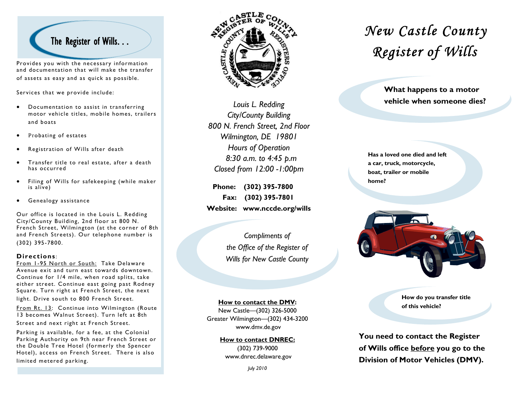Provides you with the necessary information and documentation that will make the transfer of assets as easy and as quick as possible.

Services that we provide include:

- • Documentation to assist in transferring motor vehicle titles, mobile homes, trailers and boats
- •Probating of estates
- •Registration of Wills after death
- • Transfer title to real estate, after a death has occurred
- $\bullet$  Filing of Wills for safekeeping (while maker is alive)
- •Genealogy assistance

Our office is located in the Louis L. Redding City/County Building, 2nd floor at 800 N. French Street, Wilmington (at the corner of 8th and French Streets). Our telephone number is (302) 395-7800.

#### **Directions** :

From 1-95 North or South: Take Delaware Avenue exit and turn east towards downtown. Continue for 1/4 mile, when road splits, take either street. Continue east going past Rodney Square. Turn right at French Street, the next

light. Drive south to 800 French Street.

From Rt. 13: Continue into Wilmington (Route 13 becomes Walnut Street). Turn left at 8th Street and next right at French Street.

Parking is available, for a fee, at the Colonial Parking Authority on 9th near French Street or the Double Tree Hotel (formerly the Spencer Hotel), access on French Street. There is also limited metered parking.



*Louis L. Redding City/County Building 800 N. French Street, 2nd Floor Wilmington, DE 19801 Hours of Operation 8:30 a.m. to 4:45 p.m Closed from 12:00 -1:00pm* 

 **Phone: (302) 395-7800 Fax: (302) 395-7801 Website: www.nccde.org/wills** 

> *Compliments of the Office of the Register of Wills for New Castle County*

#### **How to contact the DMV:**

New Castle—(302) 326-5000 Greater Wilmington—(302) 434-3200 www.dmv.de.gov

> **How to contact DNREC:** (302) 739-9000 www.dnrec.delaware.gov

# *New Castle County*

**What happens to a motor vehicle when someone dies?** 

**Has a loved one died and left a car, truck, motorcycle, boat, trailer or mobile home?** 



**How do you transfer title of this vehicle?** 

**You need to contact the Register of Wills office before you go to the Division of Motor Vehicles (DMV).** 

*July 2010*